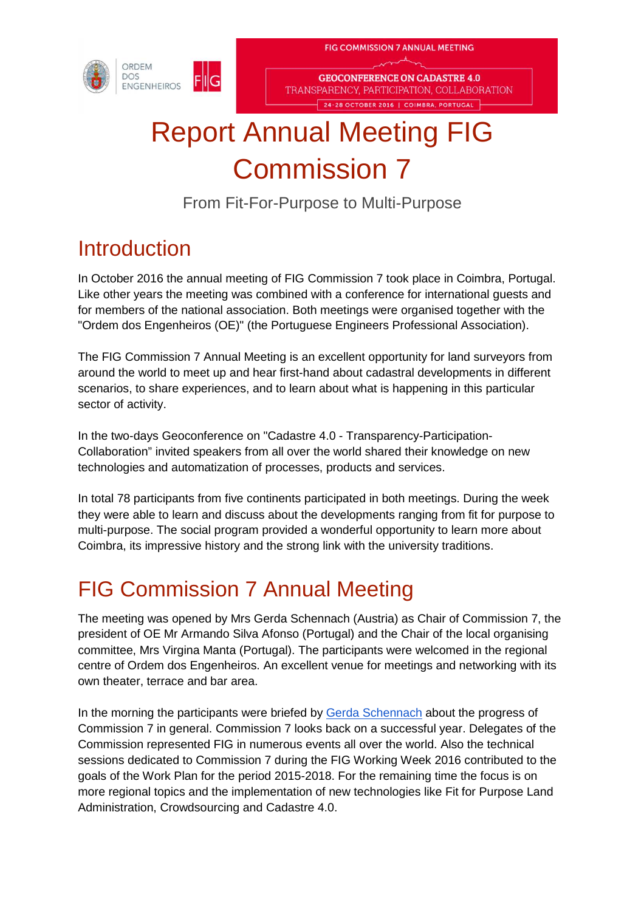

**GEOCONFERENCE ON CADASTRE 4.0** TRANSPARENCY, PARTICIPATION, COLLABORATION 24-28 OCTOBER 2016 | COIMBRA, PORTUGAL

# Report Annual Meeting FIG Commission 7

From Fit-For-Purpose to Multi-Purpose

#### **Introduction**

In October 2016 the annual meeting of FIG Commission 7 took place in Coimbra, Portugal. Like other years the meeting was combined with a conference for international guests and for members of the national association. Both meetings were organised together with the "Ordem dos Engenheiros (OE)" (the Portuguese Engineers Professional Association).

The FIG Commission 7 Annual Meeting is an excellent opportunity for land surveyors from around the world to meet up and hear first-hand about cadastral developments in different scenarios, to share experiences, and to learn about what is happening in this particular sector of activity.

In the two-days Geoconference on "Cadastre 4.0 - Transparency-Participation-Collaboration" invited speakers from all over the world shared their knowledge on new technologies and automatization of processes, products and services.

In total 78 participants from five continents participated in both meetings. During the week they were able to learn and discuss about the developments ranging from fit for purpose to multi-purpose. The social program provided a wonderful opportunity to learn more about Coimbra, its impressive history and the strong link with the university traditions.

## FIG Commission 7 Annual Meeting

The meeting was opened by Mrs Gerda Schennach (Austria) as Chair of Commission 7, the president of OE Mr Armando Silva Afonso (Portugal) and the Chair of the local organising committee, Mrs Virgina Manta (Portugal). The participants were welcomed in the regional centre of Ordem dos Engenheiros. An excellent venue for meetings and networking with its own theater, terrace and bar area.

In the morning the participants were briefed by Gerda Schennach about the progress of Commission 7 in general. Commission 7 looks back on a successful year. Delegates of the Commission represented FIG in numerous events all over the world. Also the technical sessions dedicated to Commission 7 during the FIG Working Week 2016 contributed to the goals of the Work Plan for the period 2015-2018. For the remaining time the focus is on more regional topics and the implementation of new technologies like Fit for Purpose Land Administration, Crowdsourcing and Cadastre 4.0.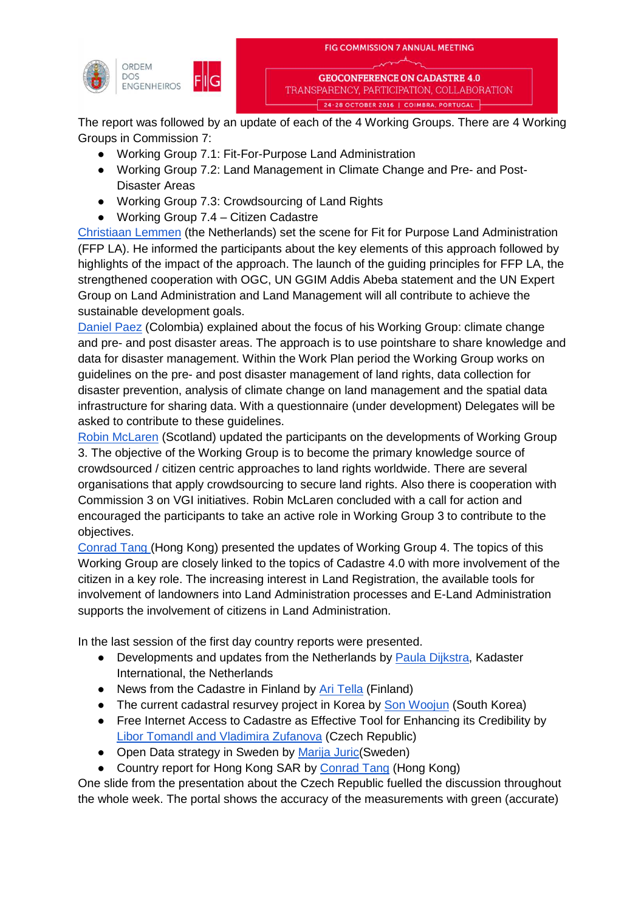

The report was followed by an update of each of the 4 Working Groups. There are 4 Working Groups in Commission 7:

- Working Group 7.1: Fit-For-Purpose Land Administration
- Working Group 7.2: Land Management in Climate Change and Pre- and Post-Disaster Areas
- Working Group 7.3: Crowdsourcing of Land Rights
- Working Group 7.4 Citizen Cadastre

Christiaan Lemmen (the Netherlands) set the scene for Fit for Purpose Land Administration (FFP LA). He informed the participants about the key elements of this approach followed by highlights of the impact of the approach. The launch of the guiding principles for FFP LA, the strengthened cooperation with OGC, UN GGIM Addis Abeba statement and the UN Expert Group on Land Administration and Land Management will all contribute to achieve the sustainable development goals.

Daniel Paez (Colombia) explained about the focus of his Working Group: climate change and pre- and post disaster areas. The approach is to use pointshare to share knowledge and data for disaster management. Within the Work Plan period the Working Group works on guidelines on the pre- and post disaster management of land rights, data collection for disaster prevention, analysis of climate change on land management and the spatial data infrastructure for sharing data. With a questionnaire (under development) Delegates will be asked to contribute to these guidelines.

Robin McLaren (Scotland) updated the participants on the developments of Working Group 3. The objective of the Working Group is to become the primary knowledge source of crowdsourced / citizen centric approaches to land rights worldwide. There are several organisations that apply crowdsourcing to secure land rights. Also there is cooperation with Commission 3 on VGI initiatives. Robin McLaren concluded with a call for action and encouraged the participants to take an active role in Working Group 3 to contribute to the objectives.

Conrad Tang (Hong Kong) presented the updates of Working Group 4. The topics of this Working Group are closely linked to the topics of Cadastre 4.0 with more involvement of the citizen in a key role. The increasing interest in Land Registration, the available tools for involvement of landowners into Land Administration processes and E-Land Administration supports the involvement of citizens in Land Administration.

In the last session of the first day country reports were presented.

- Developments and updates from the Netherlands by Paula Dijkstra, Kadaster International, the Netherlands
- News from the Cadastre in Finland by Ari Tella (Finland)
- The current cadastral resurvey project in Korea by Son Woojun (South Korea)
- Free Internet Access to Cadastre as Effective Tool for Enhancing its Credibility by Libor Tomandl and Vladimira Zufanova (Czech Republic)
- Open Data strategy in Sweden by Marija Juric(Sweden)
- Country report for Hong Kong SAR by Conrad Tang (Hong Kong)

One slide from the presentation about the Czech Republic fuelled the discussion throughout the whole week. The portal shows the accuracy of the measurements with green (accurate)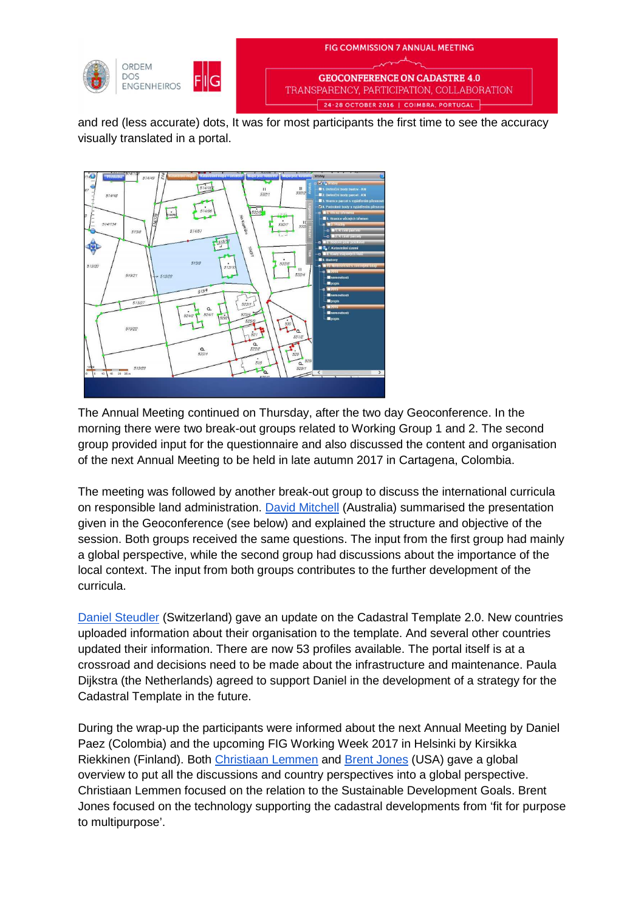

and red (less accurate) dots, It was for most participants the first time to see the accuracy visually translated in a portal.



The Annual Meeting continued on Thursday, after the two day Geoconference. In the morning there were two break-out groups related to Working Group 1 and 2. The second group provided input for the questionnaire and also discussed the content and organisation of the next Annual Meeting to be held in late autumn 2017 in Cartagena, Colombia.

The meeting was followed by another break-out group to discuss the international curricula on responsible land administration. David Mitchell (Australia) summarised the presentation given in the Geoconference (see below) and explained the structure and objective of the session. Both groups received the same questions. The input from the first group had mainly a global perspective, while the second group had discussions about the importance of the local context. The input from both groups contributes to the further development of the curricula.

Daniel Steudler (Switzerland) gave an update on the Cadastral Template 2.0. New countries uploaded information about their organisation to the template. And several other countries updated their information. There are now 53 profiles available. The portal itself is at a crossroad and decisions need to be made about the infrastructure and maintenance. Paula Dijkstra (the Netherlands) agreed to support Daniel in the development of a strategy for the Cadastral Template in the future.

During the wrap-up the participants were informed about the next Annual Meeting by Daniel Paez (Colombia) and the upcoming FIG Working Week 2017 in Helsinki by Kirsikka Riekkinen (Finland). Both Christiaan Lemmen and Brent Jones (USA) gave a global overview to put all the discussions and country perspectives into a global perspective. Christiaan Lemmen focused on the relation to the Sustainable Development Goals. Brent Jones focused on the technology supporting the cadastral developments from 'fit for purpose to multipurpose'.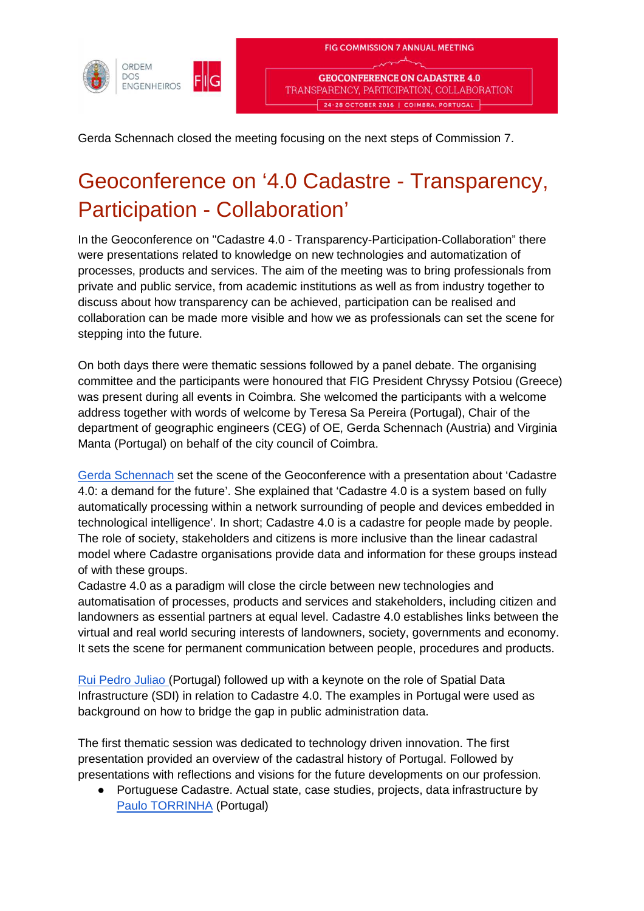



Gerda Schennach closed the meeting focusing on the next steps of Commission 7.

## Geoconference on '4.0 Cadastre - Transparency, Participation - Collaboration'

In the Geoconference on "Cadastre 4.0 - Transparency-Participation-Collaboration" there were presentations related to knowledge on new technologies and automatization of processes, products and services. The aim of the meeting was to bring professionals from private and public service, from academic institutions as well as from industry together to discuss about how transparency can be achieved, participation can be realised and collaboration can be made more visible and how we as professionals can set the scene for stepping into the future.

On both days there were thematic sessions followed by a panel debate. The organising committee and the participants were honoured that FIG President Chryssy Potsiou (Greece) was present during all events in Coimbra. She welcomed the participants with a welcome address together with words of welcome by Teresa Sa Pereira (Portugal), Chair of the department of geographic engineers (CEG) of OE, Gerda Schennach (Austria) and Virginia Manta (Portugal) on behalf of the city council of Coimbra.

Gerda Schennach set the scene of the Geoconference with a presentation about 'Cadastre 4.0: a demand for the future'. She explained that 'Cadastre 4.0 is a system based on fully automatically processing within a network surrounding of people and devices embedded in technological intelligence'. In short; Cadastre 4.0 is a cadastre for people made by people. The role of society, stakeholders and citizens is more inclusive than the linear cadastral model where Cadastre organisations provide data and information for these groups instead of with these groups.

Cadastre 4.0 as a paradigm will close the circle between new technologies and automatisation of processes, products and services and stakeholders, including citizen and landowners as essential partners at equal level. Cadastre 4.0 establishes links between the virtual and real world securing interests of landowners, society, governments and economy. It sets the scene for permanent communication between people, procedures and products.

Rui Pedro Juliao (Portugal) followed up with a keynote on the role of Spatial Data Infrastructure (SDI) in relation to Cadastre 4.0. The examples in Portugal were used as background on how to bridge the gap in public administration data.

The first thematic session was dedicated to technology driven innovation. The first presentation provided an overview of the cadastral history of Portugal. Followed by presentations with reflections and visions for the future developments on our profession.

Portuguese Cadastre. Actual state, case studies, projects, data infrastructure by Paulo TORRINHA (Portugal)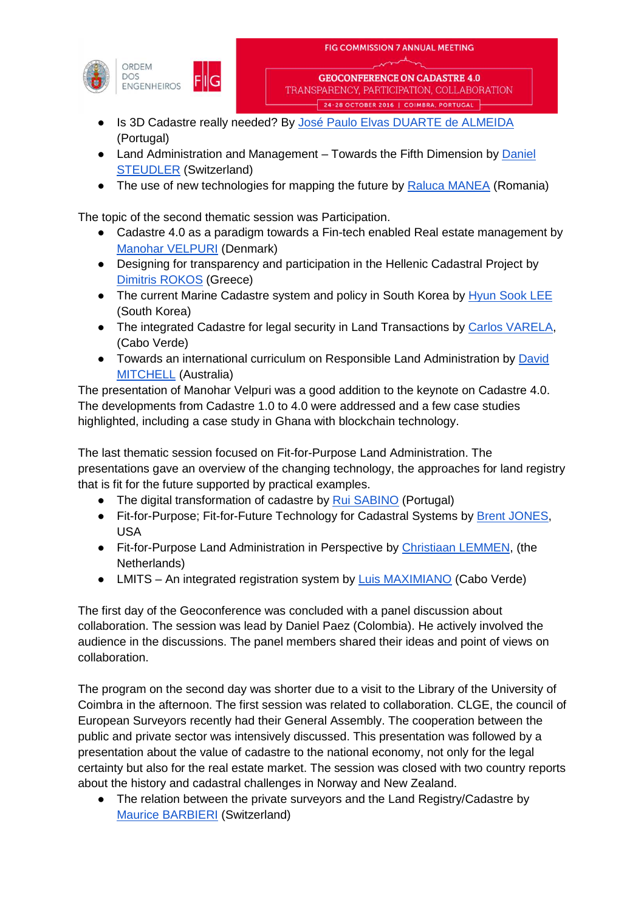

**GEOCONFERENCE ON CADASTRE 4.0** TRANSPARENCY, PARTICIPATION, COLLABORATION 24-28 OCTOBER 2016 | COIMBRA, PORTUGAL

- Is 3D Cadastre really needed? By José Paulo Elvas DUARTE de ALMEIDA (Portugal)
- Land Administration and Management Towards the Fifth Dimension by Daniel STEUDLER (Switzerland)
- The use of new technologies for mapping the future by Raluca MANEA (Romania)

The topic of the second thematic session was Participation.

- Cadastre 4.0 as a paradigm towards a Fin-tech enabled Real estate management by Manohar VELPURI (Denmark)
- Designing for transparency and participation in the Hellenic Cadastral Project by Dimitris ROKOS (Greece)
- The current Marine Cadastre system and policy in South Korea by Hyun Sook LEE (South Korea)
- The integrated Cadastre for legal security in Land Transactions by Carlos VARELA, (Cabo Verde)
- Towards an international curriculum on Responsible Land Administration by David MITCHELL (Australia)

The presentation of Manohar Velpuri was a good addition to the keynote on Cadastre 4.0. The developments from Cadastre 1.0 to 4.0 were addressed and a few case studies highlighted, including a case study in Ghana with blockchain technology.

The last thematic session focused on Fit-for-Purpose Land Administration. The presentations gave an overview of the changing technology, the approaches for land registry that is fit for the future supported by practical examples.

- The digital transformation of cadastre by Rui SABINO (Portugal)
- Fit-for-Purpose; Fit-for-Future Technology for Cadastral Systems by Brent JONES, USA
- Fit-for-Purpose Land Administration in Perspective by Christiaan LEMMEN, (the Netherlands)
- LMITS An integrated registration system by Luis MAXIMIANO (Cabo Verde)

The first day of the Geoconference was concluded with a panel discussion about collaboration. The session was lead by Daniel Paez (Colombia). He actively involved the audience in the discussions. The panel members shared their ideas and point of views on collaboration.

The program on the second day was shorter due to a visit to the Library of the University of Coimbra in the afternoon. The first session was related to collaboration. CLGE, the council of European Surveyors recently had their General Assembly. The cooperation between the public and private sector was intensively discussed. This presentation was followed by a presentation about the value of cadastre to the national economy, not only for the legal certainty but also for the real estate market. The session was closed with two country reports about the history and cadastral challenges in Norway and New Zealand.

The relation between the private surveyors and the Land Registry/Cadastre by Maurice BARBIERI (Switzerland)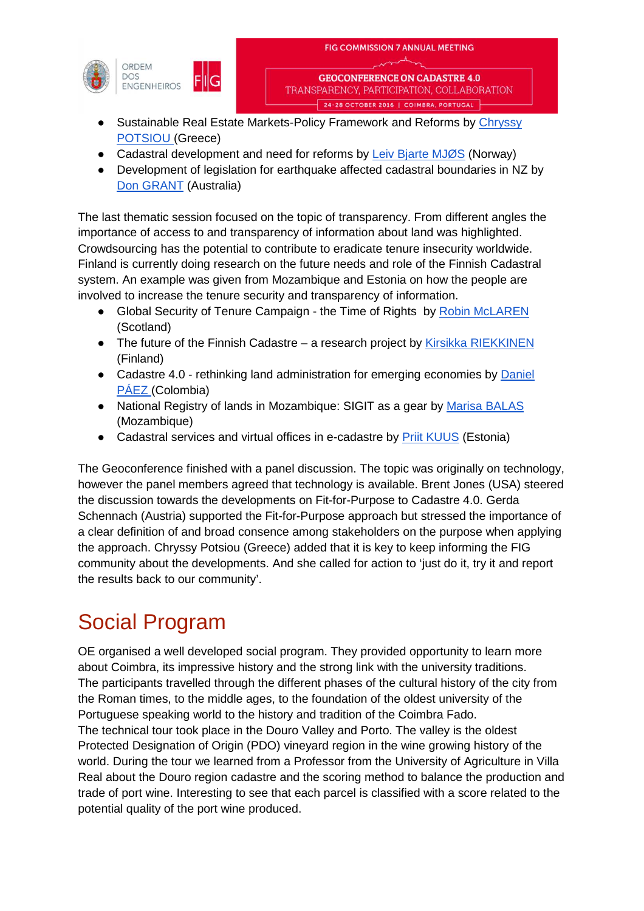

- Sustainable Real Estate Markets-Policy Framework and Reforms by Chryssy POTSIOU (Greece)
- Cadastral development and need for reforms by Leiv Bjarte MJØS (Norway)
- Development of legislation for earthquake affected cadastral boundaries in NZ by Don GRANT (Australia)

The last thematic session focused on the topic of transparency. From different angles the importance of access to and transparency of information about land was highlighted. Crowdsourcing has the potential to contribute to eradicate tenure insecurity worldwide. Finland is currently doing research on the future needs and role of the Finnish Cadastral system. An example was given from Mozambique and Estonia on how the people are involved to increase the tenure security and transparency of information.

- Global Security of Tenure Campaign the Time of Rights by Robin McLAREN (Scotland)
- The future of the Finnish Cadastre a research project by Kirsikka RIEKKINEN (Finland)
- Cadastre 4.0 rethinking land administration for emerging economies by Daniel PÁEZ (Colombia)
- National Registry of lands in Mozambique: SIGIT as a gear by Marisa BALAS (Mozambique)
- Cadastral services and virtual offices in e-cadastre by Priit KUUS (Estonia)

The Geoconference finished with a panel discussion. The topic was originally on technology, however the panel members agreed that technology is available. Brent Jones (USA) steered the discussion towards the developments on Fit-for-Purpose to Cadastre 4.0. Gerda Schennach (Austria) supported the Fit-for-Purpose approach but stressed the importance of a clear definition of and broad consence among stakeholders on the purpose when applying the approach. Chryssy Potsiou (Greece) added that it is key to keep informing the FIG community about the developments. And she called for action to 'just do it, try it and report the results back to our community'.

## Social Program

OE organised a well developed social program. They provided opportunity to learn more about Coimbra, its impressive history and the strong link with the university traditions. The participants travelled through the different phases of the cultural history of the city from the Roman times, to the middle ages, to the foundation of the oldest university of the Portuguese speaking world to the history and tradition of the Coimbra Fado. The technical tour took place in the Douro Valley and Porto. The valley is the oldest Protected Designation of Origin (PDO) vineyard region in the wine growing history of the world. During the tour we learned from a Professor from the University of Agriculture in Villa Real about the Douro region cadastre and the scoring method to balance the production and trade of port wine. Interesting to see that each parcel is classified with a score related to the potential quality of the port wine produced.